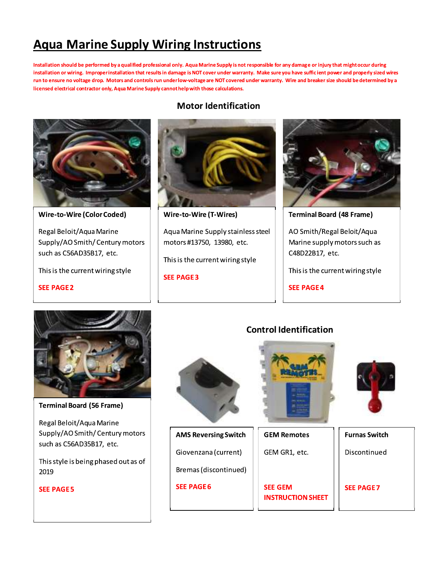# <u>Aqua Marine Supply Wiring Instructions</u>

installation should be performed by a qualified professional only. Aqua Marine Supply is not responsible for any damage or injury that might occur during installation or wiring. Improper installation that results in damage is NOT cover under warranty. Make sure you hav **Wiring Instructions**<br> **Exisional only. Aqua Marine Supply is not respons**<br>
sults in damage is NOT cover under warranty. Mal<br>
srun under low-voltage are NOT covered under w<br>
pply cannot help with those calculations.<br>
Motor of responsible for any damage or injury that might<br>
ranty. Make sure you have sufficient power and parties and the sure with the sure of the sure is and breaker size should if<br>
s.<br>
ation Aqua Marine Supply Wiring Instructions<br>Installation should be performed by a qualified professional only. Aqua Marine Supply is not responsible for any damage or injury that mightocour during<br>installation or writing. Impro ge drop. Motors and controls run underTow-voltage are NOT covered under warranty. Wire and breaker size should be determined by a 
#\*' ing Instructions<br>
mly. Aqua Marine Supply is not responsible for an<br>
mage is NOT cover under warranty. Make sure yo<br>
rlow-voltage are NOT covered under warranty. V<br>
thelp with those calculations.<br>
Motor Identification licensed electrical contractor only, Aqua Marine Supply cannot help with those calculations.<br>.



Wire-to-Wire (Color Coded)

Regal Beloit/Aqua Marine Supply/AO Smith/ Century motors such as C56AD35B17, etc.

This is the current wiring style

**SEE PAGE2** 

Ξ

**Motor Identification** 



Aqua Marine Supply stainless steel motors #13750, 13980, etc.

This is the current wiring style

**SEE PAGE3** 



Terminal Board (48 Frame)

AO Smith/Regal Beloit/Aqua Marine supply motors such as C48D22B17, etc.

This is the current wiring style

**SEE PAGE 4** 



Terminal Board (56 Frame)

Regal Beloit/Aqua Marine Supply/AO Smith/ Century motors such as C56AD35B17, etc.

This style is being phased out as of  $\parallel$ 2019

**SEE PAGE5** 

 $\mathbf{I}$ 





SEE GEM<br>INSTRUCTION SHEET

**SEE PAGE7**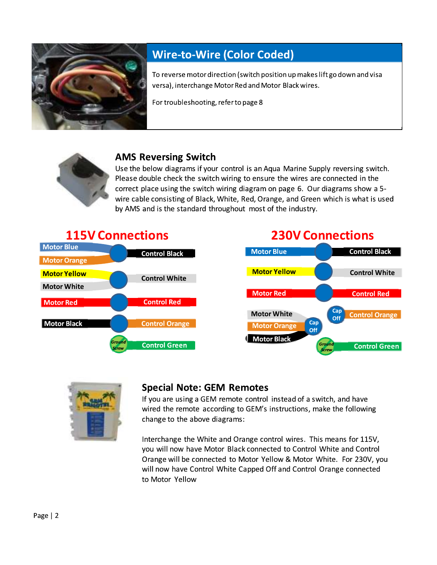

## **Wire-to-Wire (Color Coded)**

To reverse motor direction (switch position up makes lift go down and visa versa), interchange Motor Red and Motor Black wires.

For troubleshooting, refer to page 8



#### **AMS Reversing Switch**

Use the below diagrams if your control is an Aqua Marine Supply reversing switch. Please double check the switch wiring to ensure the wires are connected in the correct place using the switch wiring diagram on page 6. Our diagrams show a 5wire cable consisting of Black, White, Red, Orange, and Green which is what is used by AMS and is the standard throughout most of the industry.





#### **Special Note: GEM Remotes**

If you are using a GEM remote control instead of a switch, and have wired the remote according to GEM's instructions, make the following change to the above diagrams:

Interchange the White and Orange control wires. This means for 115V, you will now have Motor Black connected to Control White and Control Orange will be connected to Motor Yellow & Motor White. For 230V, you will now have Control White Capped Off and Control Orange connected to Motor Yellow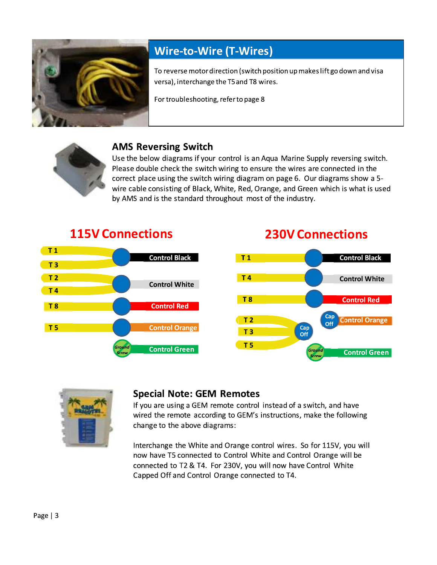

## **Wire-to-Wire (T-Wires)**

To reverse motor direction (switch position up makes lift go down and visa versa), interchange the T5 and T8 wires.

For troubleshooting, refer to page 8



### **AMS Reversing Switch**

Use the below diagrams if your control is an Aqua Marine Supply reversing switch. Please double check the switch wiring to ensure the wires are connected in the correct place using the switch wiring diagram on page 6. Our diagrams show a 5wire cable consisting of Black, White, Red, Orange, and Green which is what is used by AMS and is the standard throughout most of the industry.



## **230V Connections**





#### **Special Note: GEM Remotes**

If you are using a GEM remote control instead of a switch, and have wired the remote according to GEM's instructions, make the following change to the above diagrams:

Interchange the White and Orange control wires. So for 115V, you will now have T5 connected to Control White and Control Orange will be connected to T2 & T4. For 230V, you will now have Control White Capped Off and Control Orange connected to T4.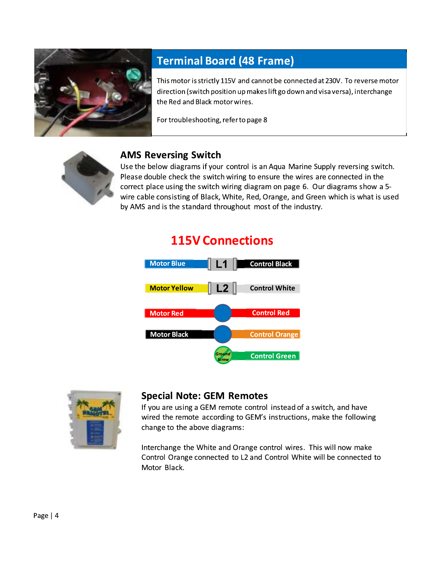

## **Terminal Board (48 Frame)**

This motor is strictly 115V and cannot be connected at 230V. To reverse motor direction (switch position up makes lift go down and visa versa), interchange the Red and Black motor wires.

For troubleshooting, refer to page 8



#### **AMS Reversing Switch**

Use the below diagrams if your control is an Aqua Marine Supply reversing switch. Please double check the switch wiring to ensure the wires are connected in the correct place using the switch wiring diagram on page 6. Our diagrams show a 5wire cable consisting of Black, White, Red, Orange, and Green which is what is used by AMS and is the standard throughout most of the industry.

## **115V Connections**





#### **Special Note: GEM Remotes**

If you are using a GEM remote control instead of a switch, and have wired the remote according to GEM's instructions, make the following change to the above diagrams:

Interchange the White and Orange control wires. This will now make Control Orange connected to L2 and Control White will be connected to Motor Black.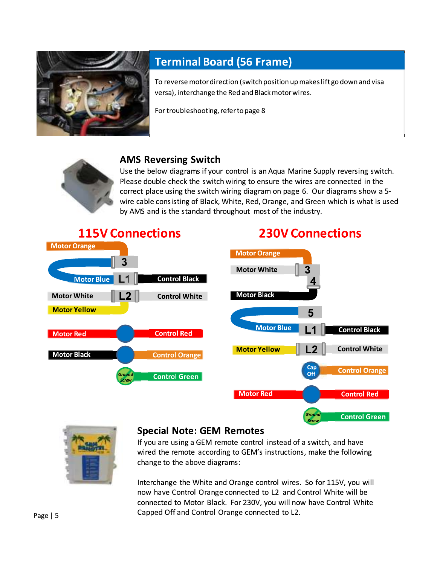

## **Terminal Board (56 Frame)**

To reverse motor direction (switch position up makes lift go down and visa versa), interchange the Red and Black motor wires.

For troubleshooting, refer to page 8



#### **AMS Reversing Switch**

Use the below diagrams if your control is an Aqua Marine Supply reversing switch. Please double check the switch wiring to ensure the wires are connected in the correct place using the switch wiring diagram on page 6. Our diagrams show a 5wire cable consisting of Black, White, Red, Orange, and Green which is what is used by AMS and is the standard throughout most of the industry.





#### **Special Note: GEM Remotes**

If you are using a GEM remote control instead of a switch, and have wired the remote according to GEM's instructions, make the following change to the above diagrams:

Interchange the White and Orange control wires. So for 115V, you will now have Control Orange connected to L2 and Control White will be connected to Motor Black. For 230V, you will now have Control White Capped Off and Control Orange connected to L2.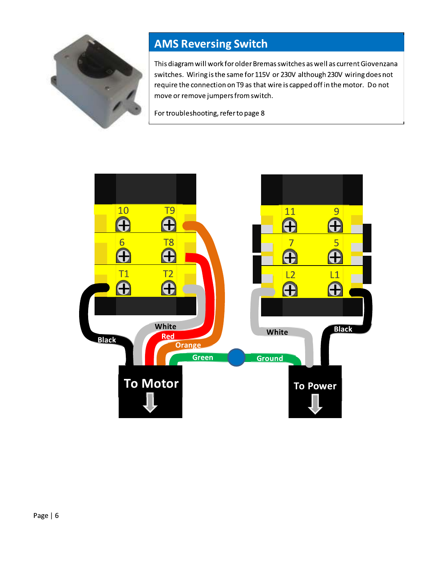

## **AMS Reversing Switch**

This diagram will work for older Bremas switches as well as current Giovenzana switches. Wiring is the same for 115V or 230V although 230V wiring does not require the connection on T9 as that wire is capped off in the motor. Do not move or remove jumpers from switch.

For troubleshooting, refer to page 8

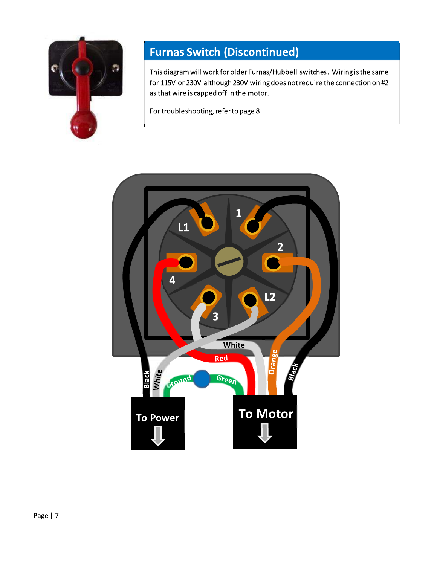

## **Furnas Switch (Discontinued)**

This diagram will work for older Furnas/Hubbell switches. Wiring is the same for 115V or 230V although 230V wiring does not require the connection on #2 as that wire is capped off in the motor.

For troubleshooting, refer to page 8